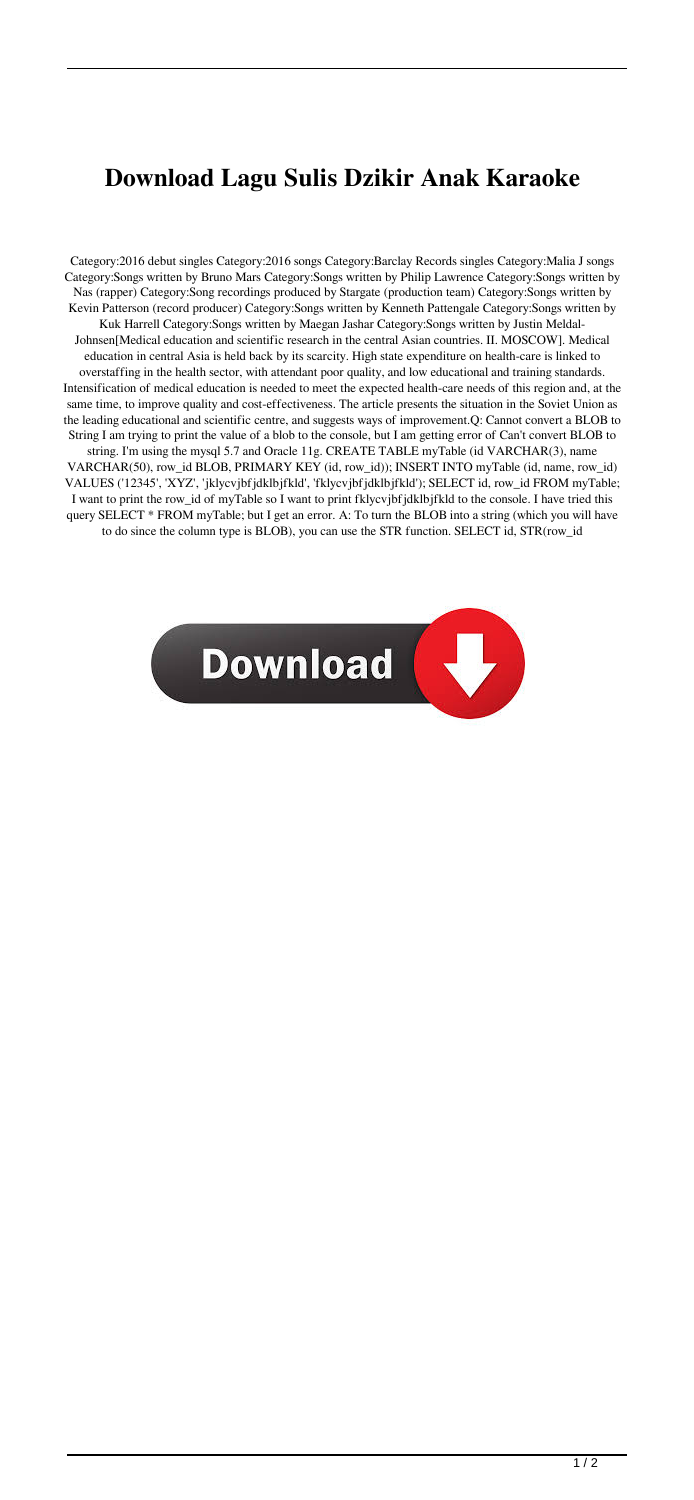## **Download Lagu Sulis Dzikir Anak Karaoke**

Category:2016 debut singles Category:2016 songs Category:Barclay Records singles Category:Malia J songs Category:Songs written by Bruno Mars Category:Songs written by Philip Lawrence Category:Songs written by Nas (rapper) Category:Song recordings produced by Stargate (production team) Category:Songs written by Kevin Patterson (record producer) Category:Songs written by Kenneth Pattengale Category:Songs written by Kuk Harrell Category:Songs written by Maegan Jashar Category:Songs written by Justin Meldal-Johnsen[Medical education and scientific research in the central Asian countries. II. MOSCOW]. Medical education in central Asia is held back by its scarcity. High state expenditure on health-care is linked to overstaffing in the health sector, with attendant poor quality, and low educational and training standards. Intensification of medical education is needed to meet the expected health-care needs of this region and, at the same time, to improve quality and cost-effectiveness. The article presents the situation in the Soviet Union as the leading educational and scientific centre, and suggests ways of improvement.Q: Cannot convert a BLOB to String I am trying to print the value of a blob to the console, but I am getting error of Can't convert BLOB to string. I'm using the mysql 5.7 and Oracle 11g. CREATE TABLE myTable (id VARCHAR(3), name VARCHAR(50), row\_id BLOB, PRIMARY KEY (id, row\_id)); INSERT INTO myTable (id, name, row\_id) VALUES ('12345', 'XYZ', 'jklycvjbfjdklbjfkld', 'fklycvjbfjdklbjfkld'); SELECT id, row\_id FROM myTable; I want to print the row\_id of myTable so I want to print fklycvjbfjdklbjfkld to the console. I have tried this query SELECT \* FROM myTable; but I get an error. A: To turn the BLOB into a string (which you will have to do since the column type is BLOB), you can use the STR function. SELECT id, STR(row\_id